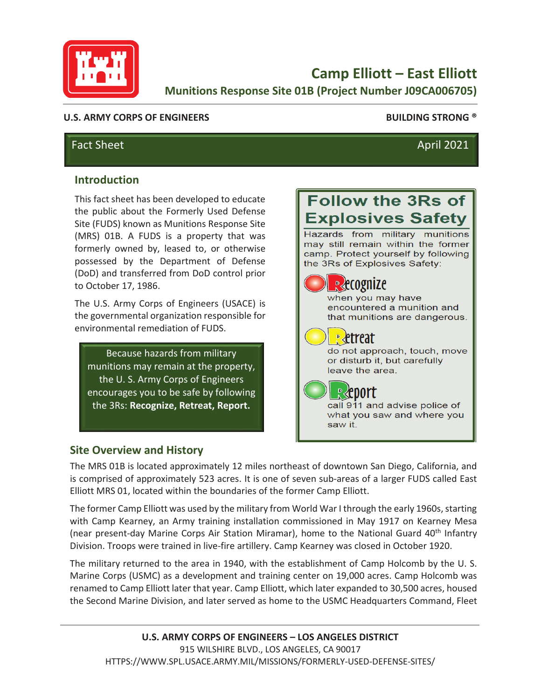

**Camp Elliott – East Elliott Munitions Response Site 01B (Project Number J09CA006705)** 

### **U.S. ARMY CORPS OF ENGINEERS BUILDING STRONG ®**

# Fact Sheet April 2021

### **Introduction**

This fact sheet has been developed to educate the public about the Formerly Used Defense Site (FUDS) known as Munitions Response Site (MRS) 01B. A FUDS is a property that was formerly owned by, leased to, or otherwise possessed by the Department of Defense (DoD) and transferred from DoD control prior to October 17, 1986.

The U.S. Army Corps of Engineers (USACE) is the governmental organization responsible for environmental remediation of FUDS.

Because hazards from military munitions may remain at the property, the U. S. Army Corps of Engineers encourages you to be safe by following the 3Rs: **Recognize, Retreat, Report.** 

# **Site Overview and History**

**Explosives Safety** Hazards from military munitions may still remain within the former camp. Protect yourself by following the 3Rs of Explosives Safety:

**Follow the 3Rs of** 

| <b>R</b> ecognize<br>when you may have<br>encountered a munition and<br>that munitions are dangerous. |
|-------------------------------------------------------------------------------------------------------|
| etreat<br>do not approach, touch, move<br>or disturb it, but carefully<br>leave the area.             |
| <b>R</b> eport<br>call 911 and advise police of<br>what you saw and where you<br>saw it               |

The MRS 01B is located approximately 12 miles northeast of downtown San Diego, California, and is comprised of approximately 523 acres. It is one of seven sub-areas of a larger FUDS called East Elliott MRS 01, located within the boundaries of the former Camp Elliott.

The former Camp Elliott was used by the military from World War I through the early 1960s, starting with Camp Kearney, an Army training installation commissioned in May 1917 on Kearney Mesa (near present-day Marine Corps Air Station Miramar), home to the National Guard 40<sup>th</sup> Infantry Division. Troops were trained in live-fire artillery. Camp Kearney was closed in October 1920.

The military returned to the area in 1940, with the establishment of Camp Holcomb by the U. S. Marine Corps (USMC) as a development and training center on 19,000 acres. Camp Holcomb was renamed to Camp Elliott later that year. Camp Elliott, which later expanded to 30,500 acres, housed the Second Marine Division, and later served as home to the USMC Headquarters Command, Fleet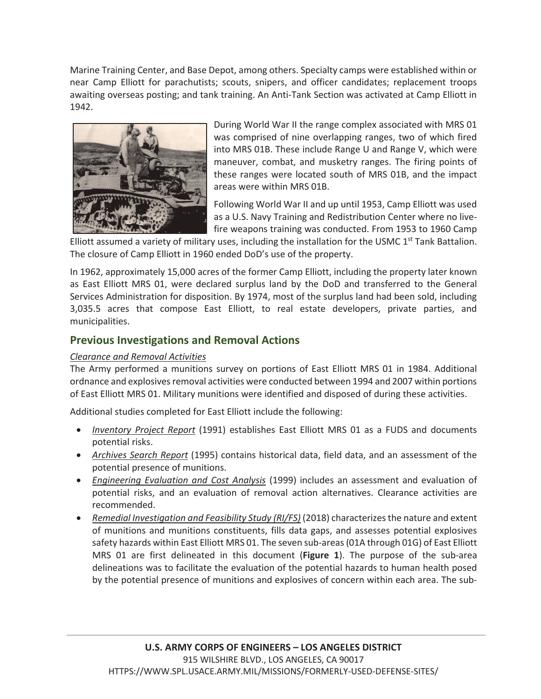Marine Training Center, and Base Depot, among others. Specialty camps were established within or near Camp Elliott for parachutists; scouts, snipers, and officer candidates; replacement troops awaiting overseas posting; and tank training. An Anti-Tank Section was activated at Camp Elliott in 1942.



During World War II the range complex associated with MRS 01 was comprised of nine overlapping ranges, two of which fired into MRS 01B. These include Range U and Range V, which were maneuver, combat, and musketry ranges. The firing points of these ranges were located south of MRS 01B, and the impact areas were within MRS 01B.

Following World War II and up until 1953, Camp Elliott was used as a U.S. Navy Training and Redistribution Center where no livefire weapons training was conducted. From 1953 to 1960 Camp

Elliott assumed a variety of military uses, including the installation for the USMC  $1<sup>st</sup>$  Tank Battalion. The closure of Camp Elliott in 1960 ended DoD's use of the property.

In 1962, approximately 15,000 acres of the former Camp Elliott, including the property later known as East Elliott MRS 01, were declared surplus land by the DoD and transferred to the General Services Administration for disposition. By 1974, most of the surplus land had been sold, including 3,035.5 acres that compose East Elliott, to real estate developers, private parties, and municipalities.

# **Previous Investigations and Removal Actions**

### *Clearance and Removal Activities*

The Army performed a munitions survey on portions of East Elliott MRS 01 in 1984. Additional ordnance and explosives removal activities were conducted between 1994 and 2007 within portions of East Elliott MRS 01. Military munitions were identified and disposed of during these activities.

Additional studies completed for East Elliott include the following:

- x *Inventory Project Report* (1991) establishes East Elliott MRS 01 as a FUDS and documents potential risks.
- x *Archives Search Report* (1995) contains historical data, field data, and an assessment of the potential presence of munitions.
- x *Engineering Evaluation and Cost Analysis* (1999) includes an assessment and evaluation of potential risks, and an evaluation of removal action alternatives. Clearance activities are recommended.
- **•** Remedial Investigation and Feasibility Study (RI/FS) (2018) characterizes the nature and extent of munitions and munitions constituents, fills data gaps, and assesses potential explosives safety hazards within East Elliott MRS 01. The seven sub-areas (01A through 01G) of East Elliott MRS 01 are first delineated in this document (**Figure 1**). The purpose of the sub-area delineations was to facilitate the evaluation of the potential hazards to human health posed by the potential presence of munitions and explosives of concern within each area. The sub-